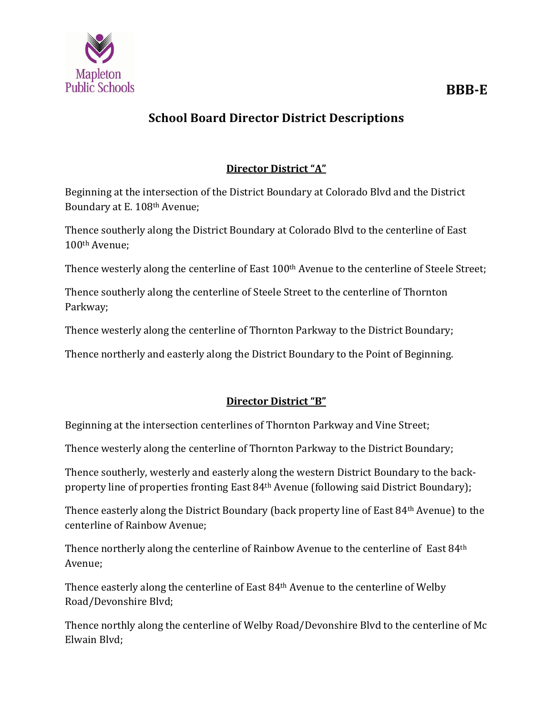

# **School Board Director District Descriptions**

# **Director District "A"**

Beginning at the intersection of the District Boundary at Colorado Blvd and the District Boundary at E. 108th Avenue;

Thence southerly along the District Boundary at Colorado Blvd to the centerline of East 100th Avenue;

Thence westerly along the centerline of East 100<sup>th</sup> Avenue to the centerline of Steele Street;

Thence southerly along the centerline of Steele Street to the centerline of Thornton Parkway;

Thence westerly along the centerline of Thornton Parkway to the District Boundary;

Thence northerly and easterly along the District Boundary to the Point of Beginning.

# **Director District "B"**

Beginning at the intersection centerlines of Thornton Parkway and Vine Street;

Thence westerly along the centerline of Thornton Parkway to the District Boundary;

Thence southerly, westerly and easterly along the western District Boundary to the backproperty line of properties fronting East 84th Avenue (following said District Boundary);

Thence easterly along the District Boundary (back property line of East 84th Avenue) to the centerline of Rainbow Avenue;

Thence northerly along the centerline of Rainbow Avenue to the centerline of East 84th Avenue;

Thence easterly along the centerline of East 84th Avenue to the centerline of Welby Road/Devonshire Blvd;

Thence northly along the centerline of Welby Road/Devonshire Blvd to the centerline of Mc Elwain Blvd;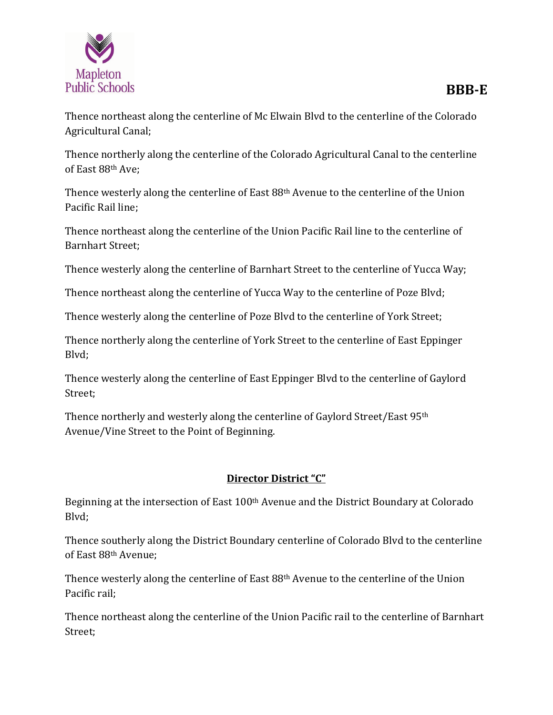

Agricultural Canal;

Thence northerly along the centerline of the Colorado Agricultural Canal to the centerline of East 88th Ave;

Thence westerly along the centerline of East 88th Avenue to the centerline of the Union Pacific Rail line;

Thence northeast along the centerline of the Union Pacific Rail line to the centerline of Barnhart Street;

Thence westerly along the centerline of Barnhart Street to the centerline of Yucca Way;

Thence northeast along the centerline of Yucca Way to the centerline of Poze Blvd;

Thence westerly along the centerline of Poze Blvd to the centerline of York Street;

Thence northerly along the centerline of York Street to the centerline of East Eppinger Blvd;

Thence westerly along the centerline of East Eppinger Blvd to the centerline of Gaylord Street;

Thence northerly and westerly along the centerline of Gaylord Street/East 95th Avenue/Vine Street to the Point of Beginning.

#### **Director District "C"**

Beginning at the intersection of East 100<sup>th</sup> Avenue and the District Boundary at Colorado Blvd;

Thence southerly along the District Boundary centerline of Colorado Blvd to the centerline of East 88th Avenue;

Thence westerly along the centerline of East 88th Avenue to the centerline of the Union Pacific rail;

Thence northeast along the centerline of the Union Pacific rail to the centerline of Barnhart Street;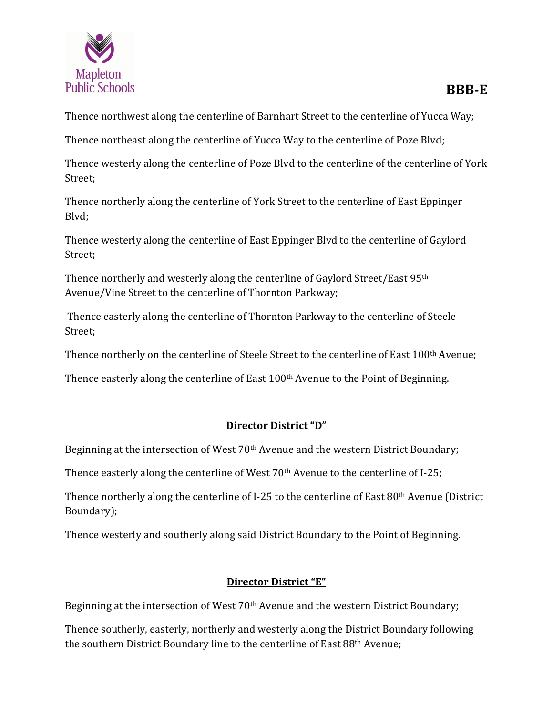

Thence northwest along the centerline of Barnhart Street to the centerline of Yucca Way;

Thence northeast along the centerline of Yucca Way to the centerline of Poze Blvd;

Thence westerly along the centerline of Poze Blvd to the centerline of the centerline of York Street;

Thence northerly along the centerline of York Street to the centerline of East Eppinger Blvd;

Thence westerly along the centerline of East Eppinger Blvd to the centerline of Gaylord Street;

Thence northerly and westerly along the centerline of Gaylord Street/East 95th Avenue/Vine Street to the centerline of Thornton Parkway;

Thence easterly along the centerline of Thornton Parkway to the centerline of Steele Street;

Thence northerly on the centerline of Steele Street to the centerline of East 100<sup>th</sup> Avenue;

Thence easterly along the centerline of East 100th Avenue to the Point of Beginning.

# **Director District "D"**

Beginning at the intersection of West 70<sup>th</sup> Avenue and the western District Boundary;

Thence easterly along the centerline of West 70<sup>th</sup> Avenue to the centerline of I-25;

Thence northerly along the centerline of I-25 to the centerline of East 80th Avenue (District Boundary);

Thence westerly and southerly along said District Boundary to the Point of Beginning.

# **Director District "E"**

Beginning at the intersection of West 70<sup>th</sup> Avenue and the western District Boundary;

Thence southerly, easterly, northerly and westerly along the District Boundary following the southern District Boundary line to the centerline of East 88th Avenue;